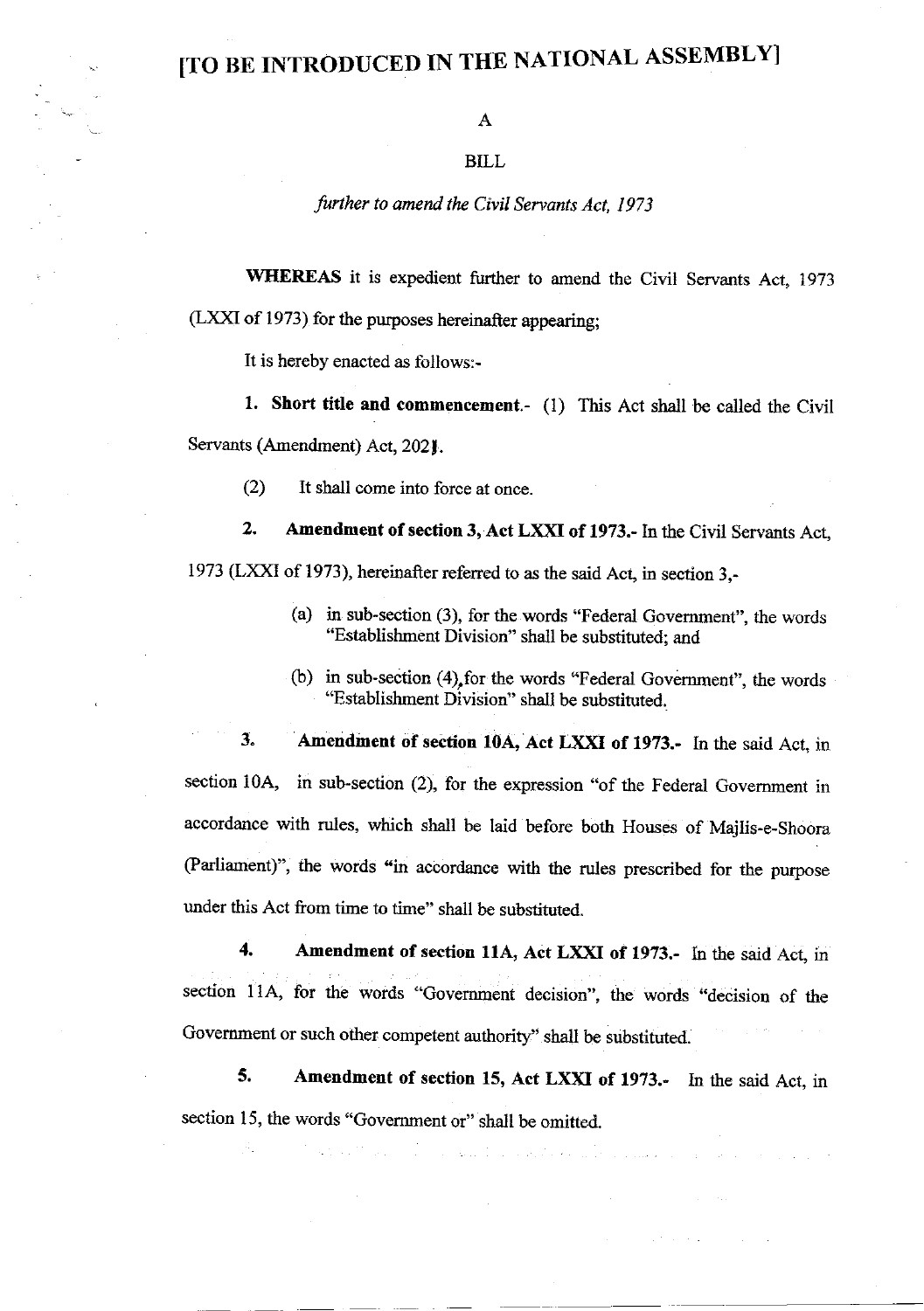## [TO BE INTRODUCED IN THE NATIONAL ASSEMBLYI

## BILL

## further to amend the Civil Servants Act, 1973

WHEREAS it is expedient further to amend the Civil Servants Act, 1973

 $(LXXI of 1973)$  for the purposes hereinafter appearing;

It is hereby enacted as follows:-

1. Short title and commencement.- (1) This Act shall be called the Civil Servants (Amendment) Act, 2021.

(2) It shall come into force at once.

2. Amendment of section 3, Act LXXI of 1973.- In the Civil Servants Act, 1973 (LXXI of 1973), hereinafter referred to as the said Act, in section 3,-

- (a) in sub-section (3), for the words "Federal Government". the words "Establishment Division" shall be substituted: and
- (b) in sub-section (4),for the words "Federal Govemment", the words "Establishment Division" shall be substituted.

3. Amendment of section 10A, Act LXXI of 1973.- In the said Act, in section 10A, in sub-section  $(2)$ , for the expression "of the Federal Government in accordance with rules, which shall be laid before both Houses of Majlis-e-shoora (Parliament)", the words "in accordance with the rules prescribed for the purpose under this Act from time to time" shall be substituted.

4. Amendment of section 11A, Act LXXI of 1973.- In the said Act, in section 11A, for the words "Government decision", the words "decision of the Government or such other competent authority" shall be substituted.

5. Amendment of section 15, Act LXXI of 1973.- In the said Act, in section 15, the words "Government or" shall be omitted.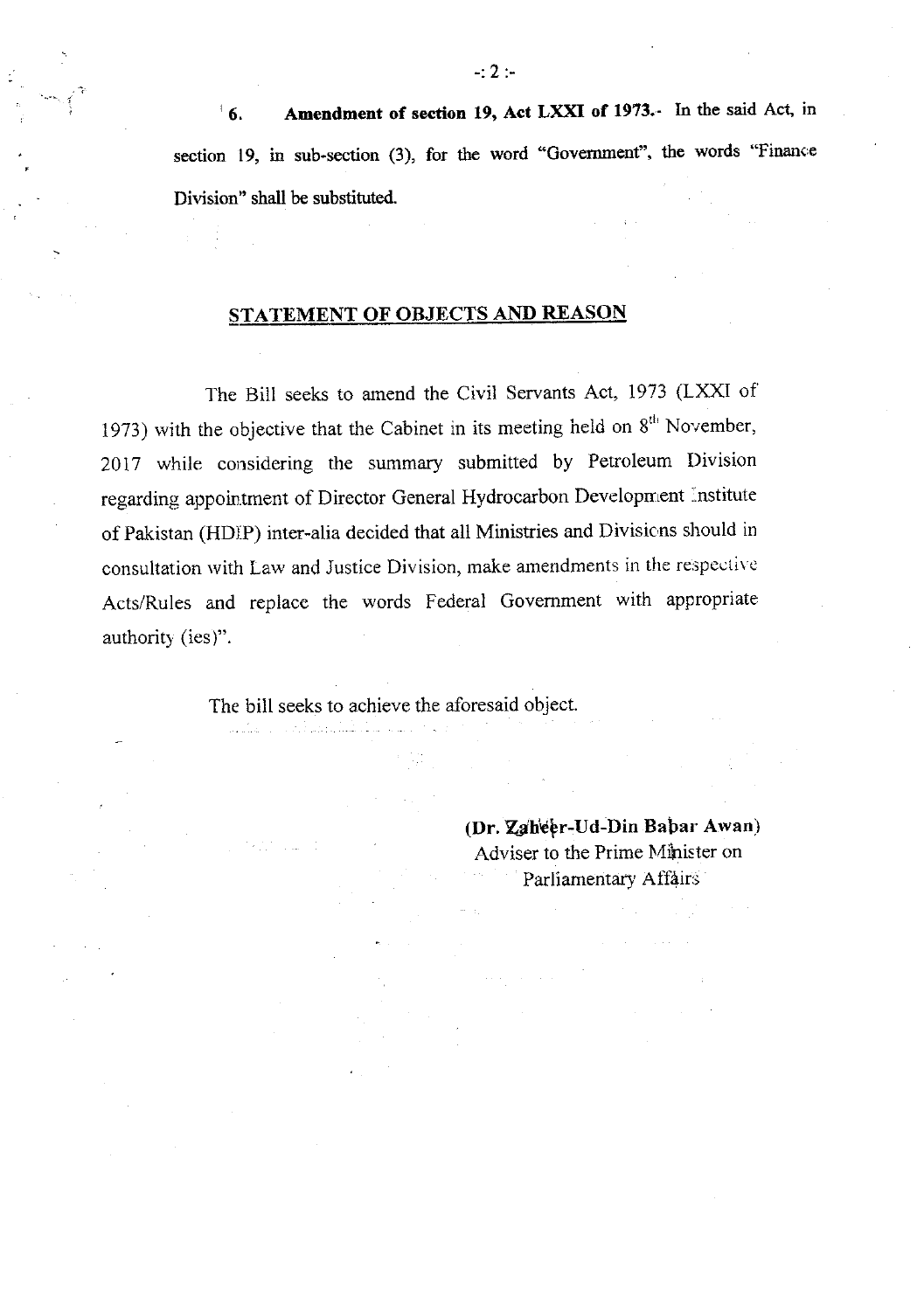6. Amendment of section 19, Act LXXI of 1973.- In the said Act, in section  $19$ , in sub-section (3), for the word "Government", the words "Finance Division" shall be substituted.

## STATEMENT OF OBJECTS AND REASON

The Bill seeks to amend the Civil Servants Act, 1973 (LXXI of 1973) with the objective that the Cabinet in its meeting held on  $8<sup>th</sup>$  November, <sup>20</sup>17 while considering the summary submitted by Petroleum I)ivision regarding appointment of Director General Hydrocarbon Development Institute of Pakistan (HDIP) inter-alia decided that all Ministries and Divisions should in consultation with Law and Justice Division, make amendments in the respective Acts/Rules and replace the words Federal Govemment with appropriate authority (ies)".

The bill seeks to achieve the aforesaid object.

(Dr. Zgheer-Ud-Din Babar Awan) Adviser to the Prime Minister on Parliamentary Affairs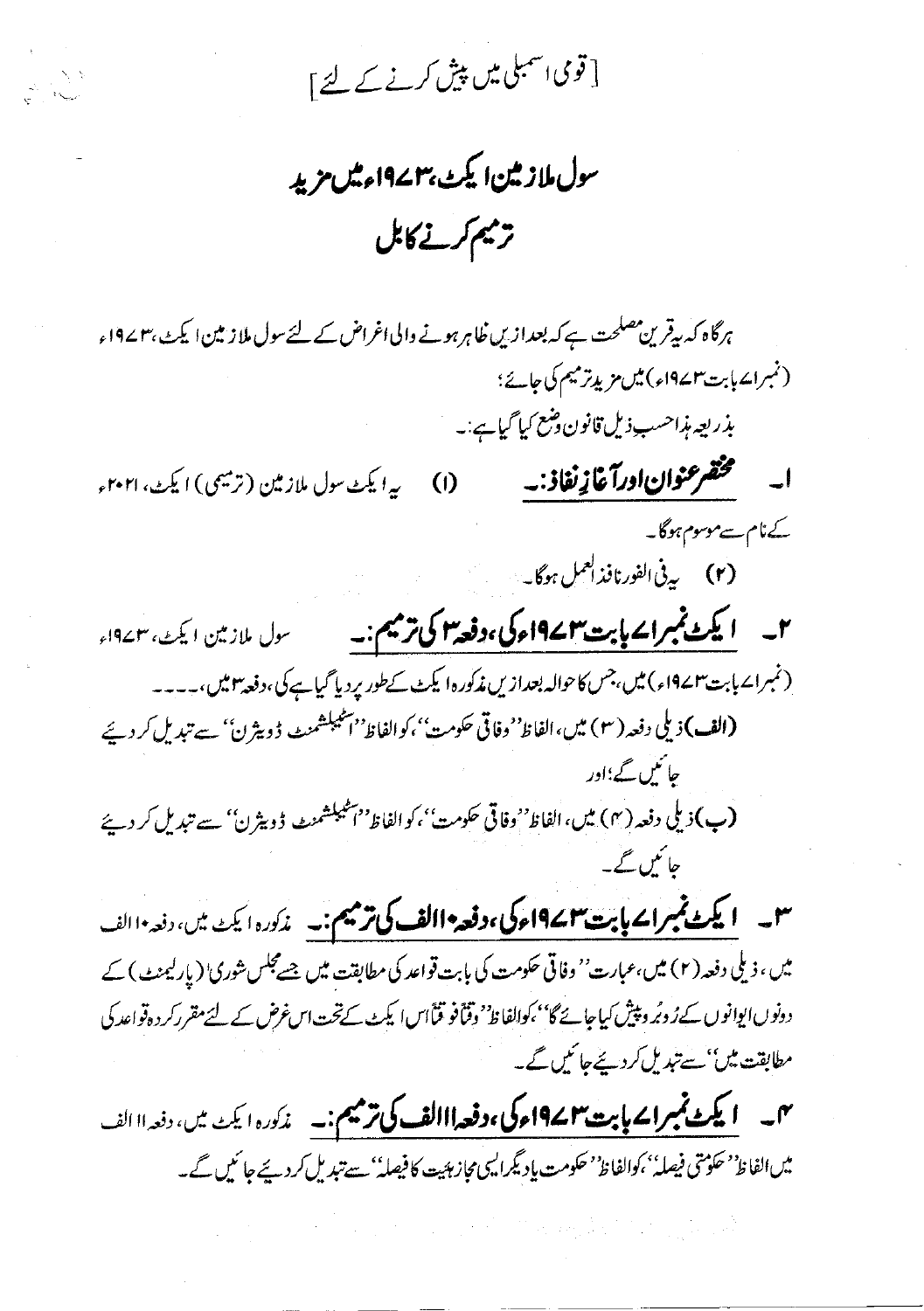[ قوی <sub>اسمبلی</sub> میں پی*ش کرنے کے* لئے ]

ANI<br>A

سول ملازمین ایکٹ ،۳ ۱۹۷ ءمیں مزید تریم کرنے کابل

ہرگاہ کہ بیقرین مصلحت ہے کہ بعدازیں ظاہر ہونے والی اغراض کے لئےسول ملازمین ایکٹ، ۲ ۱۹۷ء (نمبرائے ہابت ۱۹۷۳ء) میں مزیدِ ترمیم کی جائے؛ بذريعه مذاحسب ذيل قانون وضع كيا گياہے:۔ (1) \_\_\_ به ايكث سول ملازمين (ترميمي) ايكث، ٢٠٢١ء ےنام سے موسوم ہوگا۔ (۲) په پې<sup>1</sup>انفورنافذالعمل ہوگا۔ « ۲۔ **ایکٹ نمبراے پابت ۱۹۷۲ء کی، دفعہ اس کی ترمیم:۔** سول ملازمین ایکٹ، ۱۹۷۳ء (نمبرا<code>ے بابت ۱۹</sup>۷۴ء)میں،جس کاحوالہ بعدازیں مذکورہ</mark>ا یکٹ کےطور پردیا گیاہے کی،دفعہ ۲میں،۔۔۔۔</code> (الف)ذيلي دفعه ( ٣ ) ميں،الفاظ''وفاقي حكومت''،كوالفاظ''الحيبلشمنٹ ڈويثرن'' سے تبديل كر ديئے جائنس گے؛اور (پ) ذیلی دفعہ (۴) میں، الفاظ''وفاقی حکومت''، کو الفاظ''اسٹیبلشمنٹ ڈویثرن'' سے تبدیل کر دیئے حائمیں گے۔ س - **ایکٹ نمبراے پابت ۱۹۷۲ء کی، دفعہ ۱۱الف کی ترمیم:۔** مذکورہ ایکٹ میں، دفعہ ۱۱الف میں ، ذیلی دفعہ (۲) میں،عبارت'' وفاتی حکومت کی بابت قواعد کی مطابقت میں جسےمجلس شوریٰ' (پارلیمنٹ) کے دونوں ایوانوں کےرُ دبُر دیپٹن کیاجائے گا' کوالفاظ' وقتافو قیّاًاس! یکٹ کےتحت اس غرض کے لئےمقررکر دوقواعد کی

میں **ایکٹ نمبرای بابت ۱۹۷۲ء کی ،دفعہ ااالف کی ترمیم:۔** مذکورہ ایکٹ میں، دفعہ ااالف میں الفاظ' حکومتی فیصلہٗ' کوالفاظ' حکومت یا دیگرالیں مجاز ہئیت کا فیصلہٗ' سے تبدیل کردیئے جائیں گے۔

مطابقت میں'' سے تبدیل کردیئے جا کیں گے۔